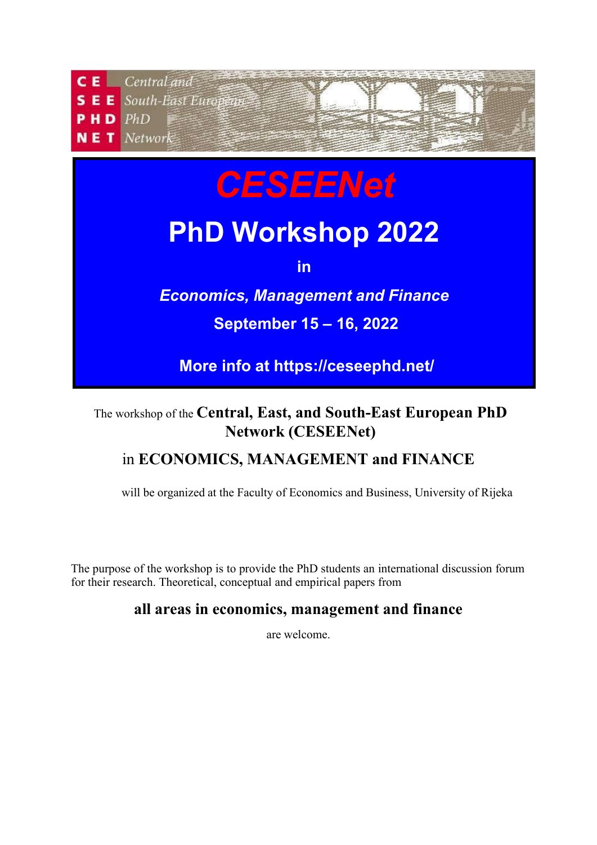

## The workshop of the **Central, East, and South-East European PhD Network (CESEENet)**

# in **ECONOMICS, MANAGEMENT and FINANCE**

will be organized at the Faculty of Economics and Business, University of Rijeka

The purpose of the workshop is to provide the PhD students an international discussion forum for their research. Theoretical, conceptual and empirical papers from

## **all areas in economics, management and finance**

are welcome.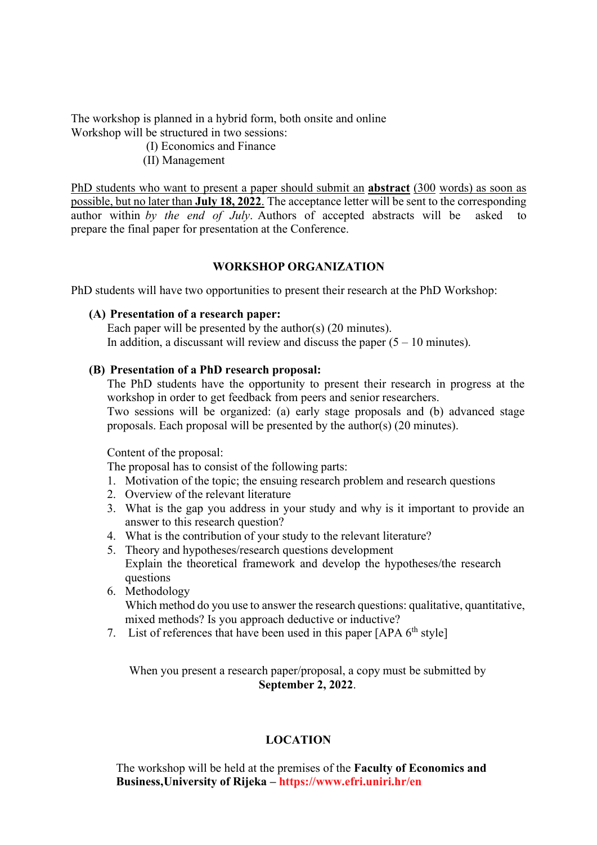The workshop is planned in a hybrid form, both onsite and online Workshop will be structured in two sessions:

- (I) Economics and Finance
- (II) Management

PhD students who want to present a paper should submit an **abstract** (300 words) as soon as possible, but no later than **July 18, 2022**. The acceptance letter will be sent to the corresponding author within *by the end of July*. Authors of accepted abstracts will be asked to prepare the final paper for presentation at the Conference.

#### **WORKSHOP ORGANIZATION**

PhD students will have two opportunities to present their research at the PhD Workshop:

#### **(A) Presentation of a research paper:**

Each paper will be presented by the author(s) (20 minutes). In addition, a discussant will review and discuss the paper  $(5 - 10 \text{ minutes})$ .

#### **(B) Presentation of a PhD research proposal:**

The PhD students have the opportunity to present their research in progress at the workshop in order to get feedback from peers and senior researchers. Two sessions will be organized: (a) early stage proposals and (b) advanced stage proposals. Each proposal will be presented by the author(s) (20 minutes).

#### Content of the proposal:

The proposal has to consist of the following parts:

- 1. Motivation of the topic; the ensuing research problem and research questions
- 2. Overview of the relevant literature
- 3. What is the gap you address in your study and why is it important to provide an answer to this research question?
- 4. What is the contribution of your study to the relevant literature?
- 5. Theory and hypotheses/research questions development Explain the theoretical framework and develop the hypotheses/the research questions
- 6. Methodology Which method do you use to answer the research questions: qualitative, quantitative, mixed methods? Is you approach deductive or inductive?
- 7. List of references that have been used in this paper  $[APA 6<sup>th</sup> style]$

When you present a research paper/proposal, a copy must be submitted by **September 2, 2022**.

#### **LOCATION**

The workshop will be held at the premises of the **Faculty of Economics and Business,University of Rijeka – https://www.efri.uniri.hr/en**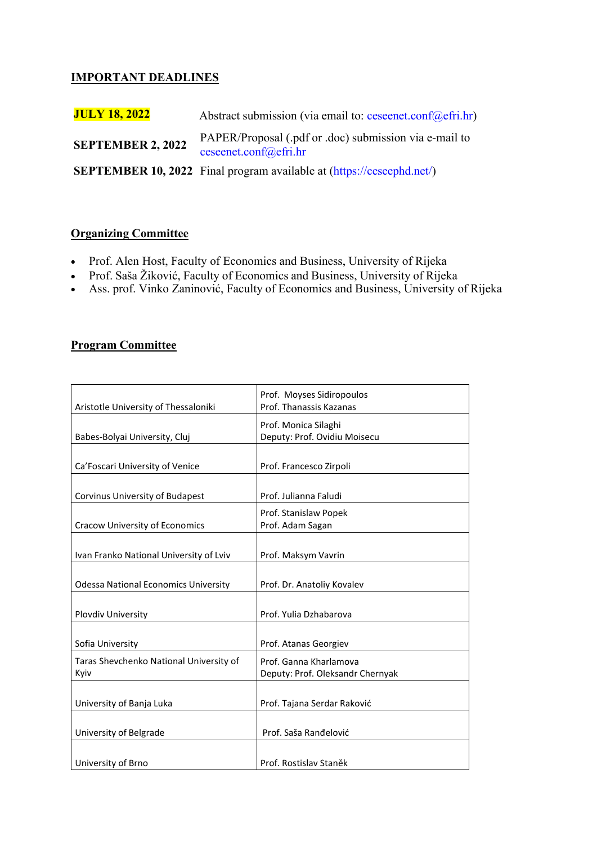### **IMPORTANT DEADLINES**

| <b>JULY 18, 2022</b>     | Abstract submission (via email to: ceseenet.conf@efri.hr)                       |
|--------------------------|---------------------------------------------------------------------------------|
| <b>SEPTEMBER 2, 2022</b> | PAPER/Proposal (.pdf or .doc) submission via e-mail to<br>ceseenet.conf@efri.hr |
|                          | <b>SEPTEMBER 10, 2022</b> Final program available at (https://ceseephd.net/)    |

### **Organizing Committee**

- Prof. Alen Host, Faculty of Economics and Business, University of Rijeka
- Prof. Saša Žiković, Faculty of Economics and Business, University of Rijeka
- Ass. prof. Vinko Zaninović, Faculty of Economics and Business, University of Rijeka

#### **Program Committee**

|                                             | Prof. Moyses Sidiropoulos        |
|---------------------------------------------|----------------------------------|
| Aristotle University of Thessaloniki        | Prof. Thanassis Kazanas          |
|                                             | Prof. Monica Silaghi             |
| Babes-Bolyai University, Cluj               | Deputy: Prof. Ovidiu Moisecu     |
|                                             |                                  |
| Ca'Foscari University of Venice             | Prof. Francesco Zirpoli          |
|                                             |                                  |
| Corvinus University of Budapest             | Prof. Julianna Faludi            |
|                                             | Prof. Stanislaw Popek            |
| <b>Cracow University of Economics</b>       | Prof. Adam Sagan                 |
|                                             |                                  |
| Ivan Franko National University of Lviv     | Prof. Maksym Vavrin              |
|                                             |                                  |
| <b>Odessa National Economics University</b> | Prof. Dr. Anatoliy Kovalev       |
|                                             |                                  |
| Plovdiv University                          | Prof. Yulia Dzhabarova           |
|                                             |                                  |
| Sofia University                            | Prof. Atanas Georgiev            |
| Taras Shevchenko National University of     | Prof. Ganna Kharlamova           |
| Kyiv                                        | Deputy: Prof. Oleksandr Chernyak |
|                                             |                                  |
| University of Banja Luka                    | Prof. Tajana Serdar Raković      |
|                                             |                                  |
| University of Belgrade                      | Prof. Saša Ranđelović            |
|                                             |                                  |
| University of Brno                          | Prof. Rostislav Staněk           |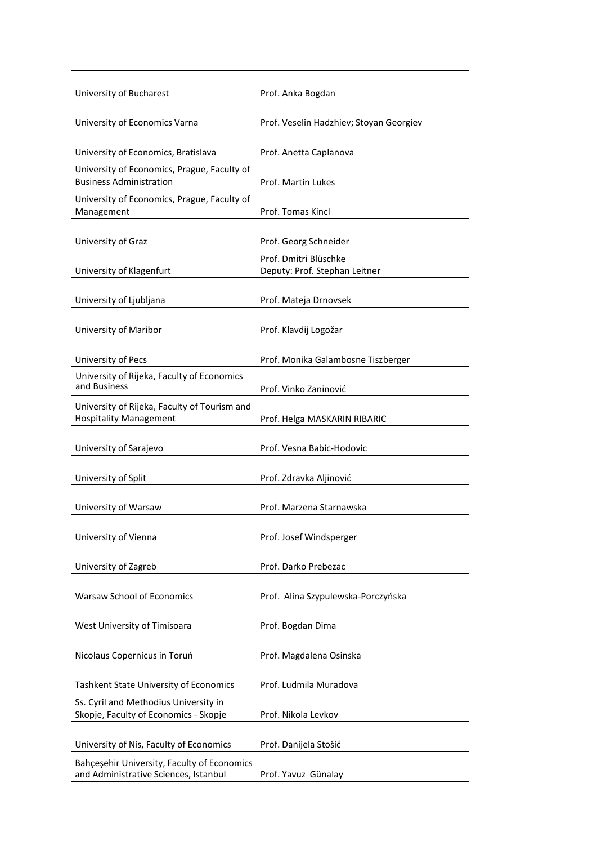| University of Bucharest                                                              | Prof. Anka Bogdan                                      |
|--------------------------------------------------------------------------------------|--------------------------------------------------------|
| University of Economics Varna                                                        | Prof. Veselin Hadzhiev; Stoyan Georgiev                |
| University of Economics, Bratislava                                                  | Prof. Anetta Caplanova                                 |
| University of Economics, Prague, Faculty of<br><b>Business Administration</b>        | Prof. Martin Lukes                                     |
| University of Economics, Prague, Faculty of<br>Management                            | Prof. Tomas Kincl                                      |
| University of Graz                                                                   | Prof. Georg Schneider                                  |
| University of Klagenfurt                                                             | Prof. Dmitri Blüschke<br>Deputy: Prof. Stephan Leitner |
| University of Ljubljana                                                              | Prof. Mateja Drnovsek                                  |
| University of Maribor                                                                | Prof. Klavdij Logožar                                  |
| University of Pecs                                                                   | Prof. Monika Galambosne Tiszberger                     |
| University of Rijeka, Faculty of Economics<br>and Business                           | Prof. Vinko Zaninović                                  |
| University of Rijeka, Faculty of Tourism and<br><b>Hospitality Management</b>        | Prof. Helga MASKARIN RIBARIC                           |
| University of Sarajevo                                                               | Prof. Vesna Babic-Hodovic                              |
| University of Split                                                                  | Prof. Zdravka Aljinović                                |
| University of Warsaw                                                                 | Prof. Marzena Starnawska                               |
| University of Vienna                                                                 | Prof. Josef Windsperger                                |
| University of Zagreb                                                                 | Prof. Darko Prebezac                                   |
| Warsaw School of Economics                                                           | Prof. Alina Szypulewska-Porczyńska                     |
| West University of Timisoara                                                         | Prof. Bogdan Dima                                      |
| Nicolaus Copernicus in Toruń                                                         | Prof. Magdalena Osinska                                |
| <b>Tashkent State University of Economics</b>                                        | Prof. Ludmila Muradova                                 |
| Ss. Cyril and Methodius University in<br>Skopje, Faculty of Economics - Skopje       | Prof. Nikola Levkov                                    |
| University of Nis, Faculty of Economics                                              | Prof. Danijela Stošić                                  |
| Bahçeşehir University, Faculty of Economics<br>and Administrative Sciences, Istanbul | Prof. Yavuz Günalay                                    |